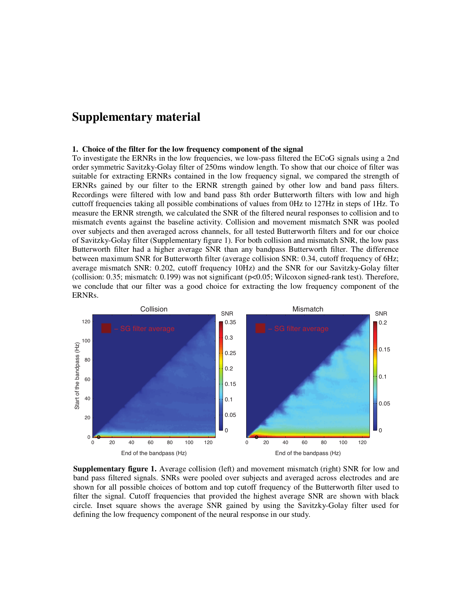## **Supplementary material**

## **1. Choice of the filter for the low frequency component of the signal**

To investigate the ERNRs in the low frequencies, we low-pass filtered the ECoG signals using a 2nd order symmetric Savitzky-Golay filter of 250ms window length. To show that our choice of filter was suitable for extracting ERNRs contained in the low frequency signal, we compared the strength of ERNRs gained by our filter to the ERNR strength gained by other low and band pass filters. Recordings were filtered with low and band pass 8th order Butterworth filters with low and high cuttoff frequencies taking all possible combinations of values from 0Hz to 127Hz in steps of 1Hz. To measure the ERNR strength, we calculated the SNR of the filtered neural responses to collision and to mismatch events against the baseline activity. Collision and movement mismatch SNR was pooled over subjects and then averaged across channels, for all tested Butterworth filters and for our choice of Savitzky-Golay filter (Supplementary figure 1). For both collision and mismatch SNR, the low pass Butterworth filter had a higher average SNR than any bandpass Butterworth filter. The difference between maximum SNR for Butterworth filter (average collision SNR: 0.34, cutoff frequency of 6Hz; average mismatch SNR: 0.202, cutoff frequency 10Hz) and the SNR for our Savitzky-Golay filter (collision: 0.35; mismatch: 0.199) was not significant (p<0.05; Wilcoxon signed-rank test). Therefore, we conclude that our filter was a good choice for extracting the low frequency component of the ERNRs.



**Supplementary figure 1.** Average collision (left) and movement mismatch (right) SNR for low and band pass filtered signals. SNRs were pooled over subjects and averaged across electrodes and are shown for all possible choices of bottom and top cutoff frequency of the Butterworth filter used to filter the signal. Cutoff frequencies that provided the highest average SNR are shown with black circle. Inset square shows the average SNR gained by using the Savitzky-Golay filter used for defining the low frequency component of the neural response in our study.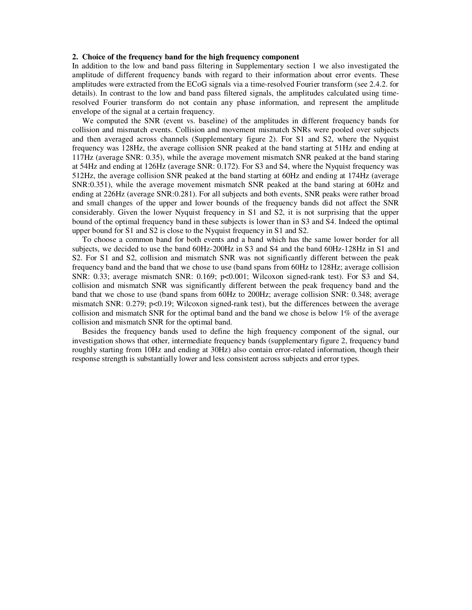## **2. Choice of the frequency band for the high frequency component**

In addition to the low and band pass filtering in Supplementary section 1 we also investigated the amplitude of different frequency bands with regard to their information about error events. These amplitudes were extracted from the ECoG signals via a time-resolved Fourier transform (see 2.4.2. for details). In contrast to the low and band pass filtered signals, the amplitudes calculated using timeresolved Fourier transform do not contain any phase information, and represent the amplitude envelope of the signal at a certain frequency.

We computed the SNR (event vs. baseline) of the amplitudes in different frequency bands for collision and mismatch events. Collision and movement mismatch SNRs were pooled over subjects and then averaged across channels (Supplementary figure 2). For S1 and S2, where the Nyquist frequency was 128Hz, the average collision SNR peaked at the band starting at 51Hz and ending at 117Hz (average SNR: 0.35), while the average movement mismatch SNR peaked at the band staring at 54Hz and ending at 126Hz (average SNR: 0.172). For S3 and S4, where the Nyquist frequency was 512Hz, the average collision SNR peaked at the band starting at 60Hz and ending at 174Hz (average SNR:0.351), while the average movement mismatch SNR peaked at the band staring at 60Hz and ending at 226Hz (average SNR:0.281). For all subjects and both events, SNR peaks were rather broad and small changes of the upper and lower bounds of the frequency bands did not affect the SNR considerably. Given the lower Nyquist frequency in S1 and S2, it is not surprising that the upper bound of the optimal frequency band in these subjects is lower than in S3 and S4. Indeed the optimal upper bound for S1 and S2 is close to the Nyquist frequency in S1 and S2.

To choose a common band for both events and a band which has the same lower border for all subjects, we decided to use the band 60Hz-200Hz in S3 and S4 and the band 60Hz-128Hz in S1 and S2. For S1 and S2, collision and mismatch SNR was not significantly different between the peak frequency band and the band that we chose to use (band spans from 60Hz to 128Hz; average collision SNR: 0.33; average mismatch SNR: 0.169; p<0.001; Wilcoxon signed-rank test). For S3 and S4, collision and mismatch SNR was significantly different between the peak frequency band and the band that we chose to use (band spans from 60Hz to 200Hz; average collision SNR: 0.348; average mismatch SNR: 0.279; p<0.19; Wilcoxon signed-rank test), but the differences between the average collision and mismatch SNR for the optimal band and the band we chose is below 1% of the average collision and mismatch SNR for the optimal band.

Besides the frequency bands used to define the high frequency component of the signal, our investigation shows that other, intermediate frequency bands (supplementary figure 2, frequency band roughly starting from 10Hz and ending at 30Hz) also contain error-related information, though their response strength is substantially lower and less consistent across subjects and error types.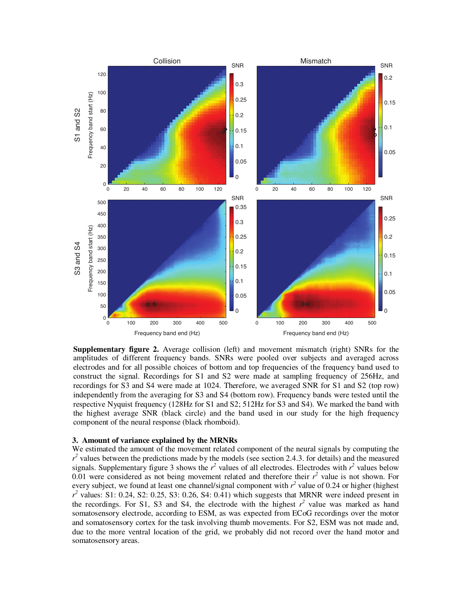

**Supplementary figure 2.** Average collision (left) and movement mismatch (right) SNRs for the amplitudes of different frequency bands. SNRs were pooled over subjects and averaged across electrodes and for all possible choices of bottom and top frequencies of the frequency band used to construct the signal. Recordings for S1 and S2 were made at sampling frequency of 256Hz, and recordings for S3 and S4 were made at 1024. Therefore, we averaged SNR for S1 and S2 (top row) independently from the averaging for S3 and S4 (bottom row). Frequency bands were tested until the respective Nyquist frequency (128Hz for S1 and S2; 512Hz for S3 and S4). We marked the band with the highest average SNR (black circle) and the band used in our study for the high frequency component of the neural response (black rhomboid).

## **3. Amount of variance explained by the MRNRs**

We estimated the amount of the movement related component of the neural signals by computing the  $r^2$  values between the predictions made by the models (see section 2.4.3. for details) and the measured signals. Supplementary figure 3 shows the  $r^2$  values of all electrodes. Electrodes with  $r^2$  values below  $0.01$  were considered as not being movement related and therefore their  $r^2$  value is not shown. For every subject, we found at least one channel/signal component with  $r^2$  value of 0.24 or higher (highest  $r^2$  values: S1: 0.24, S2: 0.25, S3: 0.26, S4: 0.41) which suggests that MRNR were indeed present in the recordings. For S1, S3 and S4, the electrode with the highest  $r^2$  value was marked as hand somatosensory electrode, according to ESM, as was expected from ECoG recordings over the motor and somatosensory cortex for the task involving thumb movements. For S2, ESM was not made and, due to the more ventral location of the grid, we probably did not record over the hand motor and somatosensory areas.